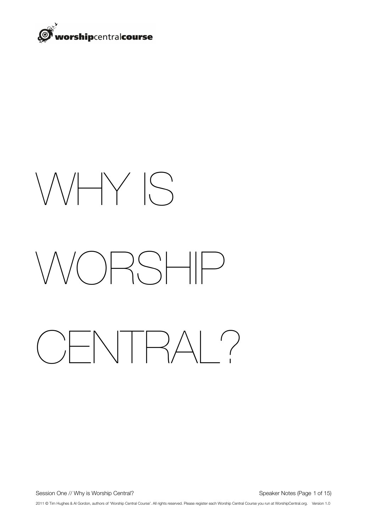

# WHY IS WORSHIP CENTRAL?

Session One // Why is Worship Central? Speaker Notes (Page 1 of 15)

2011 © Tim Hughes & Al Gordon, authors of 'Worship Central Course'. All rights reserved. Please register each Worship Central Course you run at WorshipCentral.org. Version 1.0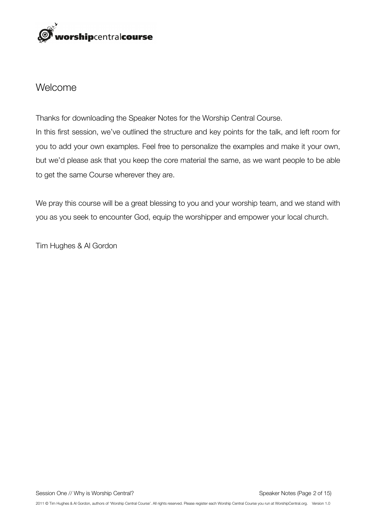

## Welcome

Thanks for downloading the Speaker Notes for the Worship Central Course. In this first session, we've outlined the structure and key points for the talk, and left room for you to add your own examples. Feel free to personalize the examples and make it your own, but we'd please ask that you keep the core material the same, as we want people to be able to get the same Course wherever they are.

We pray this course will be a great blessing to you and your worship team, and we stand with you as you seek to encounter God, equip the worshipper and empower your local church.

Tim Hughes & Al Gordon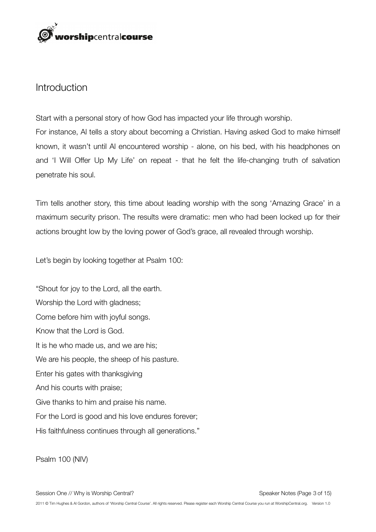

#### **Introduction**

Start with a personal story of how God has impacted your life through worship. For instance, Al tells a story about becoming a Christian. Having asked God to make himself known, it wasn't until Al encountered worship - alone, on his bed, with his headphones on and 'I Will Offer Up My Life' on repeat - that he felt the life-changing truth of salvation penetrate his soul.

Tim tells another story, this time about leading worship with the song 'Amazing Grace' in a maximum security prison. The results were dramatic: men who had been locked up for their actions brought low by the loving power of God's grace, all revealed through worship.

Let's begin by looking together at Psalm 100:

"Shout for joy to the Lord, all the earth. Worship the Lord with gladness; Come before him with joyful songs. Know that the Lord is God. It is he who made us, and we are his; We are his people, the sheep of his pasture. Enter his gates with thanksgiving And his courts with praise; Give thanks to him and praise his name. For the Lord is good and his love endures forever; His faithfulness continues through all generations."

Psalm 100 (NIV)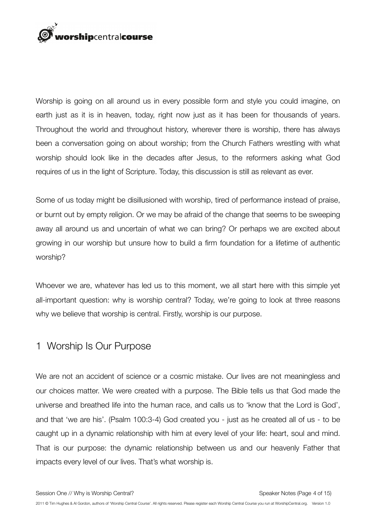

Worship is going on all around us in every possible form and style you could imagine, on earth just as it is in heaven, today, right now just as it has been for thousands of years. Throughout the world and throughout history, wherever there is worship, there has always been a conversation going on about worship; from the Church Fathers wrestling with what worship should look like in the decades after Jesus, to the reformers asking what God requires of us in the light of Scripture. Today, this discussion is still as relevant as ever.

Some of us today might be disillusioned with worship, tired of performance instead of praise, or burnt out by empty religion. Or we may be afraid of the change that seems to be sweeping away all around us and uncertain of what we can bring? Or perhaps we are excited about growing in our worship but unsure how to build a firm foundation for a lifetime of authentic worship?

Whoever we are, whatever has led us to this moment, we all start here with this simple yet all-important question: why is worship central? Today, we're going to look at three reasons why we believe that worship is central. Firstly, worship is our purpose.

## 1 Worship Is Our Purpose

We are not an accident of science or a cosmic mistake. Our lives are not meaningless and our choices matter. We were created with a purpose. The Bible tells us that God made the universe and breathed life into the human race, and calls us to 'know that the Lord is God', and that 'we are his'. (Psalm 100:3-4) God created you - just as he created all of us - to be caught up in a dynamic relationship with him at every level of your life: heart, soul and mind. That is our purpose: the dynamic relationship between us and our heavenly Father that impacts every level of our lives. That's what worship is.

Session One // Why is Worship Central? Speaker Notes (Page 4 of 15) 2011 © Tim Hughes & Al Gordon, authors of 'Worship Central Course'. All rights reserved. Please register each Worship Central Course you run at WorshipCentral.org. Version 1.0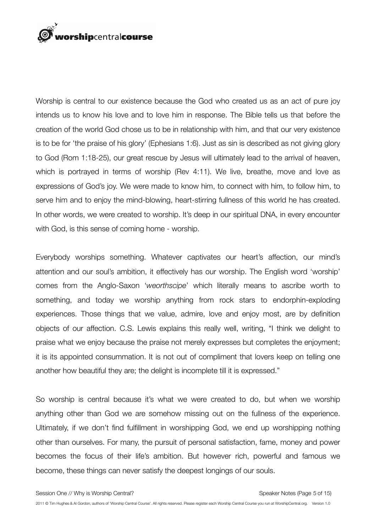# orshipcentralcourse

Worship is central to our existence because the God who created us as an act of pure joy intends us to know his love and to love him in response. The Bible tells us that before the creation of the world God chose us to be in relationship with him, and that our very existence is to be for 'the praise of his glory' (Ephesians 1:6). Just as sin is described as not giving glory to God (Rom 1:18-25), our great rescue by Jesus will ultimately lead to the arrival of heaven, which is portrayed in terms of worship (Rev 4:11). We live, breathe, move and love as expressions of God's joy. We were made to know him, to connect with him, to follow him, to serve him and to enjoy the mind-blowing, heart-stirring fullness of this world he has created. In other words, we were created to worship. It's deep in our spiritual DNA, in every encounter with God, is this sense of coming home - worship.

Everybody worships something. Whatever captivates our heart's affection, our mind's attention and our soul's ambition, it effectively has our worship. The English word 'worship' comes from the Anglo-Saxon '*weorthscipe*' which literally means to ascribe worth to something, and today we worship anything from rock stars to endorphin-exploding experiences. Those things that we value, admire, love and enjoy most, are by definition objects of our affection. C.S. Lewis explains this really well, writing, "I think we delight to praise what we enjoy because the praise not merely expresses but completes the enjoyment; it is its appointed consummation. It is not out of compliment that lovers keep on telling one another how beautiful they are; the delight is incomplete till it is expressed."

So worship is central because it's what we were created to do, but when we worship anything other than God we are somehow missing out on the fullness of the experience. Ultimately, if we don't find fulfillment in worshipping God, we end up worshipping nothing other than ourselves. For many, the pursuit of personal satisfaction, fame, money and power becomes the focus of their life's ambition. But however rich, powerful and famous we become, these things can never satisfy the deepest longings of our souls.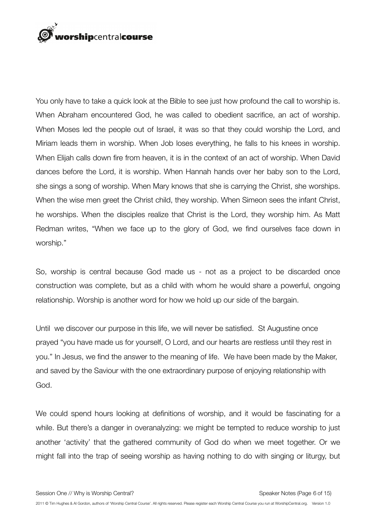# orshipcentralcourse

You only have to take a quick look at the Bible to see just how profound the call to worship is. When Abraham encountered God, he was called to obedient sacrifice, an act of worship. When Moses led the people out of Israel, it was so that they could worship the Lord, and Miriam leads them in worship. When Job loses everything, he falls to his knees in worship. When Elijah calls down fire from heaven, it is in the context of an act of worship. When David dances before the Lord, it is worship. When Hannah hands over her baby son to the Lord, she sings a song of worship. When Mary knows that she is carrying the Christ, she worships. When the wise men greet the Christ child, they worship. When Simeon sees the infant Christ, he worships. When the disciples realize that Christ is the Lord, they worship him. As Matt Redman writes, "When we face up to the glory of God, we find ourselves face down in worship."

So, worship is central because God made us - not as a project to be discarded once construction was complete, but as a child with whom he would share a powerful, ongoing relationship. Worship is another word for how we hold up our side of the bargain.

Until we discover our purpose in this life, we will never be satisfied. St Augustine once prayed "you have made us for yourself, O Lord, and our hearts are restless until they rest in you." In Jesus, we find the answer to the meaning of life. We have been made by the Maker, and saved by the Saviour with the one extraordinary purpose of enjoying relationship with God.

We could spend hours looking at definitions of worship, and it would be fascinating for a while. But there's a danger in overanalyzing: we might be tempted to reduce worship to just another 'activity' that the gathered community of God do when we meet together. Or we might fall into the trap of seeing worship as having nothing to do with singing or liturgy, but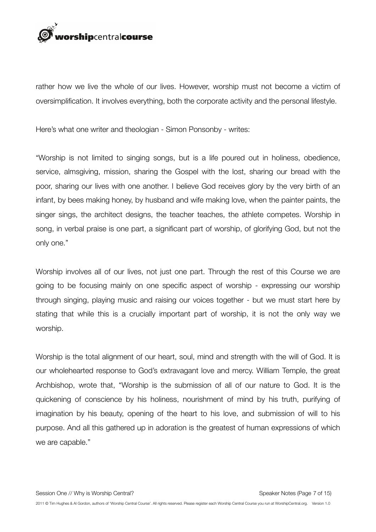

rather how we live the whole of our lives. However, worship must not become a victim of oversimplification. It involves everything, both the corporate activity and the personal lifestyle.

Here's what one writer and theologian - Simon Ponsonby - writes:

"Worship is not limited to singing songs, but is a life poured out in holiness, obedience, service, almsgiving, mission, sharing the Gospel with the lost, sharing our bread with the poor, sharing our lives with one another. I believe God receives glory by the very birth of an infant, by bees making honey, by husband and wife making love, when the painter paints, the singer sings, the architect designs, the teacher teaches, the athlete competes. Worship in song, in verbal praise is one part, a significant part of worship, of glorifying God, but not the only one."

Worship involves all of our lives, not just one part. Through the rest of this Course we are going to be focusing mainly on one specific aspect of worship - expressing our worship through singing, playing music and raising our voices together - but we must start here by stating that while this is a crucially important part of worship, it is not the only way we worship.

Worship is the total alignment of our heart, soul, mind and strength with the will of God. It is our wholehearted response to God's extravagant love and mercy. William Temple, the great Archbishop, wrote that, "Worship is the submission of all of our nature to God. It is the quickening of conscience by his holiness, nourishment of mind by his truth, purifying of imagination by his beauty, opening of the heart to his love, and submission of will to his purpose. And all this gathered up in adoration is the greatest of human expressions of which we are capable."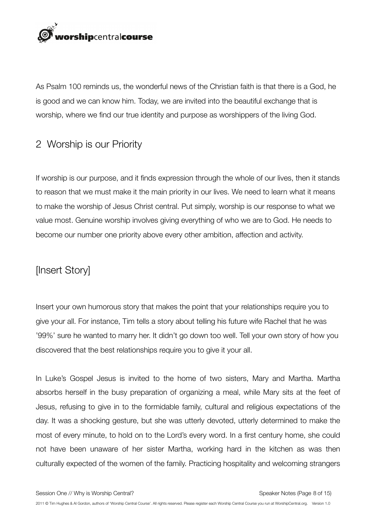

As Psalm 100 reminds us, the wonderful news of the Christian faith is that there is a God, he is good and we can know him. Today, we are invited into the beautiful exchange that is worship, where we find our true identity and purpose as worshippers of the living God.

## 2 Worship is our Priority

If worship is our purpose, and it finds expression through the whole of our lives, then it stands to reason that we must make it the main priority in our lives. We need to learn what it means to make the worship of Jesus Christ central. Put simply, worship is our response to what we value most. Genuine worship involves giving everything of who we are to God. He needs to become our number one priority above every other ambition, affection and activity.

## [Insert Story]

Insert your own humorous story that makes the point that your relationships require you to give your all. For instance, Tim tells a story about telling his future wife Rachel that he was '99%' sure he wanted to marry her. It didn't go down too well. Tell your own story of how you discovered that the best relationships require you to give it your all.

In Luke's Gospel Jesus is invited to the home of two sisters, Mary and Martha. Martha absorbs herself in the busy preparation of organizing a meal, while Mary sits at the feet of Jesus, refusing to give in to the formidable family, cultural and religious expectations of the day. It was a shocking gesture, but she was utterly devoted, utterly determined to make the most of every minute, to hold on to the Lord's every word. In a first century home, she could not have been unaware of her sister Martha, working hard in the kitchen as was then culturally expected of the women of the family. Practicing hospitality and welcoming strangers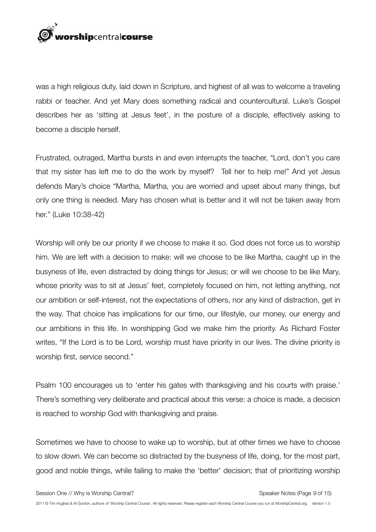

was a high religious duty, laid down in Scripture, and highest of all was to welcome a traveling rabbi or teacher. And yet Mary does something radical and countercultural. Luke's Gospel describes her as 'sitting at Jesus feet', in the posture of a disciple, effectively asking to become a disciple herself.

Frustrated, outraged, Martha bursts in and even interrupts the teacher, "Lord, don't you care that my sister has left me to do the work by myself? Tell her to help me!" And yet Jesus defends Mary's choice "Martha, Martha, you are worried and upset about many things, but only one thing is needed. Mary has chosen what is better and it will not be taken away from her." (Luke 10:38-42)

Worship will only be our priority if we choose to make it so. God does not force us to worship him. We are left with a decision to make: will we choose to be like Martha, caught up in the busyness of life, even distracted by doing things for Jesus; or will we choose to be like Mary, whose priority was to sit at Jesus' feet, completely focused on him, not letting anything, not our ambition or self-interest, not the expectations of others, nor any kind of distraction, get in the way. That choice has implications for our time, our lifestyle, our money, our energy and our ambitions in this life. In worshipping God we make him the priority. As Richard Foster writes, "If the Lord is to be Lord, worship must have priority in our lives. The divine priority is worship first, service second."

Psalm 100 encourages us to 'enter his gates with thanksgiving and his courts with praise.' There's something very deliberate and practical about this verse: a choice is made, a decision is reached to worship God with thanksgiving and praise.

Sometimes we have to choose to wake up to worship, but at other times we have to choose to slow down. We can become so distracted by the busyness of life, doing, for the most part, good and noble things, while failing to make the 'better' decision; that of prioritizing worship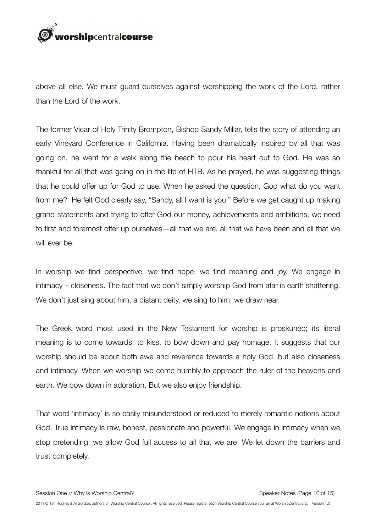

above all else. We must guard ourselves against worshipping the work of the Lord, rather than the Lord of the work.

The former Vicar of Holy Trinity Brompton, Bishop Sandy Millar, tells the story of attending an early Vineyard Conference in California. Having been dramatically inspired by all that was going on, he went for a walk along the beach to pour his heart out to God. He was so thankful for all that was going on in the life of HTB. As he prayed, he was suggesting things that he could offer up for God to use. When he asked the question, God what do you want from me? He felt God clearly say, "Sandy, all I want is you." Before we get caught up making grand statements and trying to offer God our money, achievements and ambitions, we need to first and foremost offer up ourselves—all that we are, all that we have been and all that we will ever be.

In worship we find perspective, we find hope, we find meaning and joy. We engage in intimacy – closeness. The fact that we don't simply worship God from afar is earth shattering. We don't just sing about him, a distant deity, we sing to him; we draw near.

The Greek word most used in the New Testament for worship is proskuneo; its literal meaning is to come towards, to kiss, to bow down and pay homage. It suggests that our worship should be about both awe and reverence towards a holy God, but also closeness and intimacy. When we worship we come humbly to approach the ruler of the heavens and earth. We bow down in adoration. But we also enjoy friendship.

That word 'intimacy' is so easily misunderstood or reduced to merely romantic notions about God. True intimacy is raw, honest, passionate and powerful. We engage in intimacy when we stop pretending, we allow God full access to all that we are. We let down the barriers and trust completely.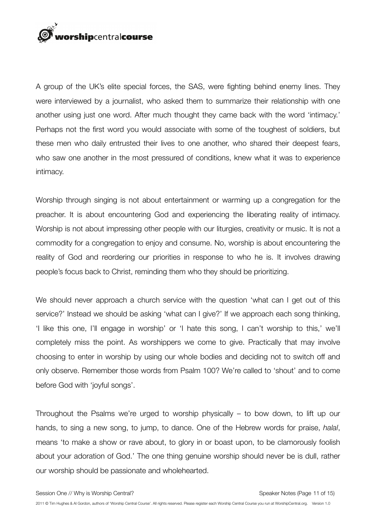# rorshipcentralcourse

A group of the UK's elite special forces, the SAS, were fighting behind enemy lines. They were interviewed by a journalist, who asked them to summarize their relationship with one another using just one word. After much thought they came back with the word 'intimacy.' Perhaps not the first word you would associate with some of the toughest of soldiers, but these men who daily entrusted their lives to one another, who shared their deepest fears, who saw one another in the most pressured of conditions, knew what it was to experience intimacy.

Worship through singing is not about entertainment or warming up a congregation for the preacher. It is about encountering God and experiencing the liberating reality of intimacy. Worship is not about impressing other people with our liturgies, creativity or music. It is not a commodity for a congregation to enjoy and consume. No, worship is about encountering the reality of God and reordering our priorities in response to who he is. It involves drawing people's focus back to Christ, reminding them who they should be prioritizing.

We should never approach a church service with the question 'what can I get out of this service?' Instead we should be asking 'what can I give?' If we approach each song thinking, 'I like this one, I'll engage in worship' or 'I hate this song, I can't worship to this,' we'll completely miss the point. As worshippers we come to give. Practically that may involve choosing to enter in worship by using our whole bodies and deciding not to switch off and only observe. Remember those words from Psalm 100? We're called to 'shout' and to come before God with 'joyful songs'.

Throughout the Psalms we're urged to worship physically – to bow down, to lift up our hands, to sing a new song, to jump, to dance. One of the Hebrew words for praise, *halal*, means 'to make a show or rave about, to glory in or boast upon, to be clamorously foolish about your adoration of God.' The one thing genuine worship should never be is dull, rather our worship should be passionate and wholehearted.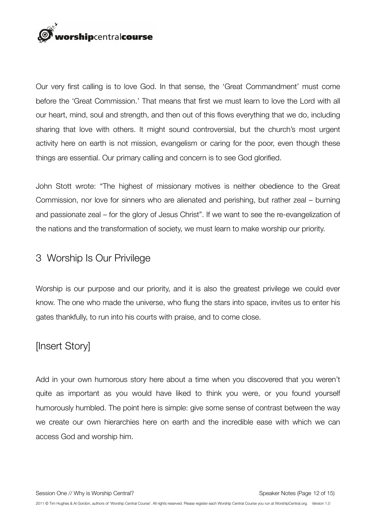

Our very first calling is to love God. In that sense, the 'Great Commandment' must come before the 'Great Commission.' That means that first we must learn to love the Lord with all our heart, mind, soul and strength, and then out of this flows everything that we do, including sharing that love with others. It might sound controversial, but the church's most urgent activity here on earth is not mission, evangelism or caring for the poor, even though these things are essential. Our primary calling and concern is to see God glorified.

John Stott wrote: "The highest of missionary motives is neither obedience to the Great Commission, nor love for sinners who are alienated and perishing, but rather zeal – burning and passionate zeal – for the glory of Jesus Christ". If we want to see the re-evangelization of the nations and the transformation of society, we must learn to make worship our priority.

#### 3 Worship Is Our Privilege

Worship is our purpose and our priority, and it is also the greatest privilege we could ever know. The one who made the universe, who flung the stars into space, invites us to enter his gates thankfully, to run into his courts with praise, and to come close.

## [Insert Story]

Add in your own humorous story here about a time when you discovered that you weren't quite as important as you would have liked to think you were, or you found yourself humorously humbled. The point here is simple: give some sense of contrast between the way we create our own hierarchies here on earth and the incredible ease with which we can access God and worship him.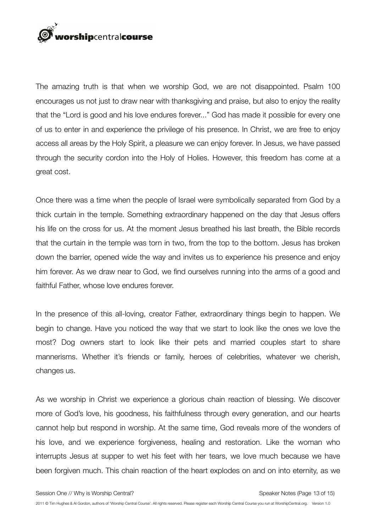

The amazing truth is that when we worship God, we are not disappointed. Psalm 100 encourages us not just to draw near with thanksgiving and praise, but also to enjoy the reality that the "Lord is good and his love endures forever..." God has made it possible for every one of us to enter in and experience the privilege of his presence. In Christ, we are free to enjoy access all areas by the Holy Spirit, a pleasure we can enjoy forever. In Jesus, we have passed through the security cordon into the Holy of Holies. However, this freedom has come at a great cost.

Once there was a time when the people of Israel were symbolically separated from God by a thick curtain in the temple. Something extraordinary happened on the day that Jesus offers his life on the cross for us. At the moment Jesus breathed his last breath, the Bible records that the curtain in the temple was torn in two, from the top to the bottom. Jesus has broken down the barrier, opened wide the way and invites us to experience his presence and enjoy him forever. As we draw near to God, we find ourselves running into the arms of a good and faithful Father, whose love endures forever.

In the presence of this all-loving, creator Father, extraordinary things begin to happen. We begin to change. Have you noticed the way that we start to look like the ones we love the most? Dog owners start to look like their pets and married couples start to share mannerisms. Whether it's friends or family, heroes of celebrities, whatever we cherish, changes us.

As we worship in Christ we experience a glorious chain reaction of blessing. We discover more of God's love, his goodness, his faithfulness through every generation, and our hearts cannot help but respond in worship. At the same time, God reveals more of the wonders of his love, and we experience forgiveness, healing and restoration. Like the woman who interrupts Jesus at supper to wet his feet with her tears, we love much because we have been forgiven much. This chain reaction of the heart explodes on and on into eternity, as we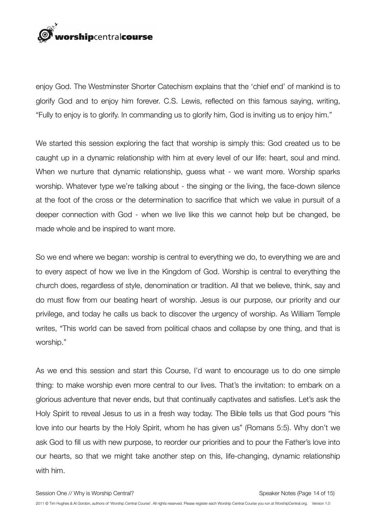# rorshipcentralcourse

enjoy God. The Westminster Shorter Catechism explains that the 'chief end' of mankind is to glorify God and to enjoy him forever. C.S. Lewis, reflected on this famous saying, writing, "Fully to enjoy is to glorify. In commanding us to glorify him, God is inviting us to enjoy him."

We started this session exploring the fact that worship is simply this: God created us to be caught up in a dynamic relationship with him at every level of our life: heart, soul and mind. When we nurture that dynamic relationship, guess what - we want more. Worship sparks worship. Whatever type we're talking about - the singing or the living, the face-down silence at the foot of the cross or the determination to sacrifice that which we value in pursuit of a deeper connection with God - when we live like this we cannot help but be changed, be made whole and be inspired to want more.

So we end where we began: worship is central to everything we do, to everything we are and to every aspect of how we live in the Kingdom of God. Worship is central to everything the church does, regardless of style, denomination or tradition. All that we believe, think, say and do must flow from our beating heart of worship. Jesus is our purpose, our priority and our privilege, and today he calls us back to discover the urgency of worship. As William Temple writes, "This world can be saved from political chaos and collapse by one thing, and that is worship."

As we end this session and start this Course, I'd want to encourage us to do one simple thing: to make worship even more central to our lives. That's the invitation: to embark on a glorious adventure that never ends, but that continually captivates and satisfies. Let's ask the Holy Spirit to reveal Jesus to us in a fresh way today. The Bible tells us that God pours "his love into our hearts by the Holy Spirit, whom he has given us" (Romans 5:5). Why don't we ask God to fill us with new purpose, to reorder our priorities and to pour the Father's love into our hearts, so that we might take another step on this, life-changing, dynamic relationship with him.